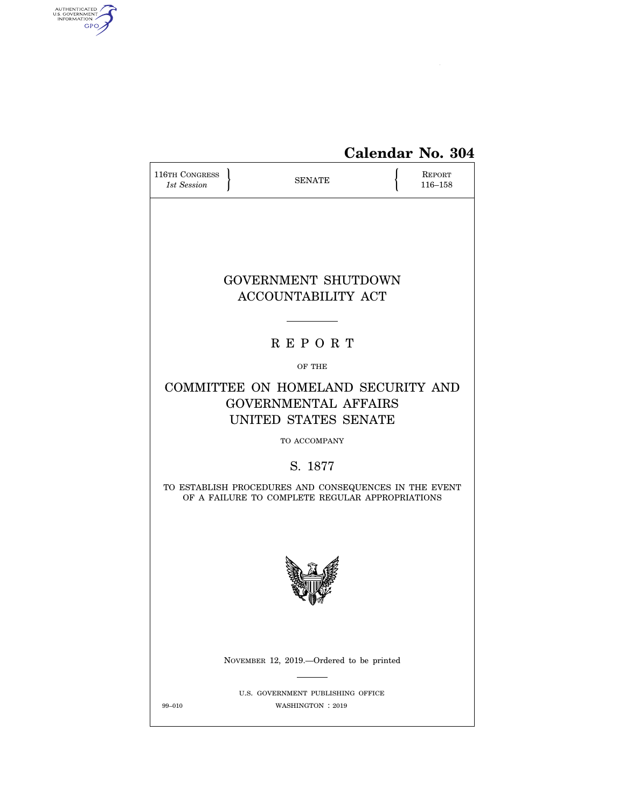

# **Calendar No. 304**

| 116TH CONGRESS<br>1st Session                                                                            |  | <b>SENATE</b>                                          |  | <b>REPORT</b><br>116-158 |  |  |  |  |  |
|----------------------------------------------------------------------------------------------------------|--|--------------------------------------------------------|--|--------------------------|--|--|--|--|--|
|                                                                                                          |  |                                                        |  |                          |  |  |  |  |  |
|                                                                                                          |  | <b>GOVERNMENT SHUTDOWN</b>                             |  |                          |  |  |  |  |  |
| <b>ACCOUNTABILITY ACT</b>                                                                                |  |                                                        |  |                          |  |  |  |  |  |
|                                                                                                          |  |                                                        |  |                          |  |  |  |  |  |
| <b>REPORT</b>                                                                                            |  |                                                        |  |                          |  |  |  |  |  |
|                                                                                                          |  | OF THE                                                 |  |                          |  |  |  |  |  |
| COMMITTEE ON HOMELAND SECURITY AND<br><b>GOVERNMENTAL AFFAIRS</b><br>UNITED STATES SENATE                |  |                                                        |  |                          |  |  |  |  |  |
| TO ACCOMPANY                                                                                             |  |                                                        |  |                          |  |  |  |  |  |
| S. 1877                                                                                                  |  |                                                        |  |                          |  |  |  |  |  |
| TO ESTABLISH PROCEDURES AND CONSEQUENCES IN THE EVENT<br>OF A FAILURE TO COMPLETE REGULAR APPROPRIATIONS |  |                                                        |  |                          |  |  |  |  |  |
|                                                                                                          |  |                                                        |  |                          |  |  |  |  |  |
|                                                                                                          |  | NOVEMBER 12, 2019.--Ordered to be printed              |  |                          |  |  |  |  |  |
| 99-010                                                                                                   |  | U.S. GOVERNMENT PUBLISHING OFFICE<br>WASHINGTON : 2019 |  |                          |  |  |  |  |  |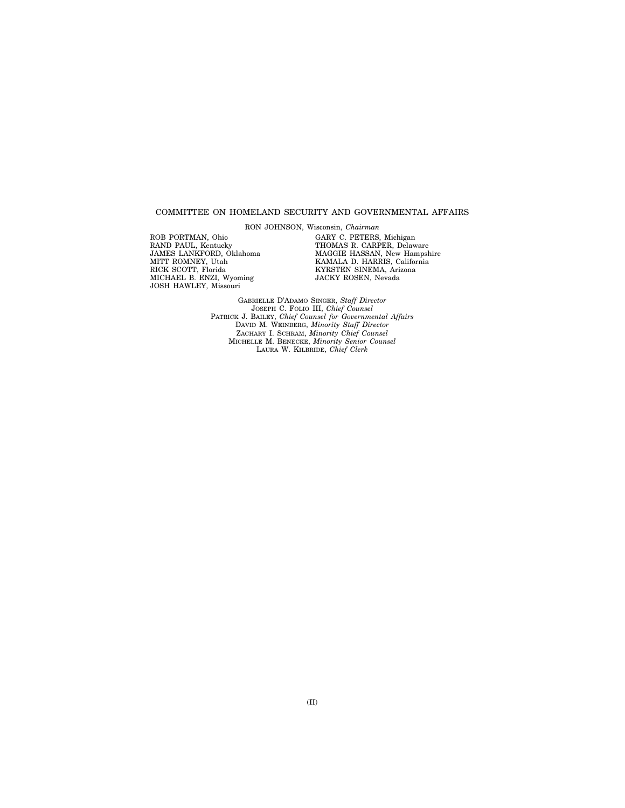#### COMMITTEE ON HOMELAND SECURITY AND GOVERNMENTAL AFFAIRS

RON JOHNSON, Wisconsin, *Chairman* 

ROB PORTMAN, Ohio RAND PAUL, Kentucky JAMES LANKFORD, Oklahoma MITT ROMNEY, Utah RICK SCOTT, Florida MICHAEL B. ENZI, Wyoming JOSH HAWLEY, Missouri

GARY C. PETERS, Michigan THOMAS R. CARPER, Delaware MAGGIE HASSAN, New Hampshire KAMALA D. HARRIS, California KYRSTEN SINEMA, Arizona JACKY ROSEN, Nevada

GABRIELLE D'ADAMO SINGER, *Staff Director*  JOSEPH C. FOLIO III, *Chief Counsel*  PATRICK J. BAILEY, *Chief Counsel for Governmental Affairs*  DAVID M. WEINBERG, *Minority Staff Director*  ZACHARY I. SCHRAM, *Minority Chief Counsel*  MICHELLE M. BENECKE, *Minority Senior Counsel*  LAURA W. KILBRIDE, *Chief Clerk*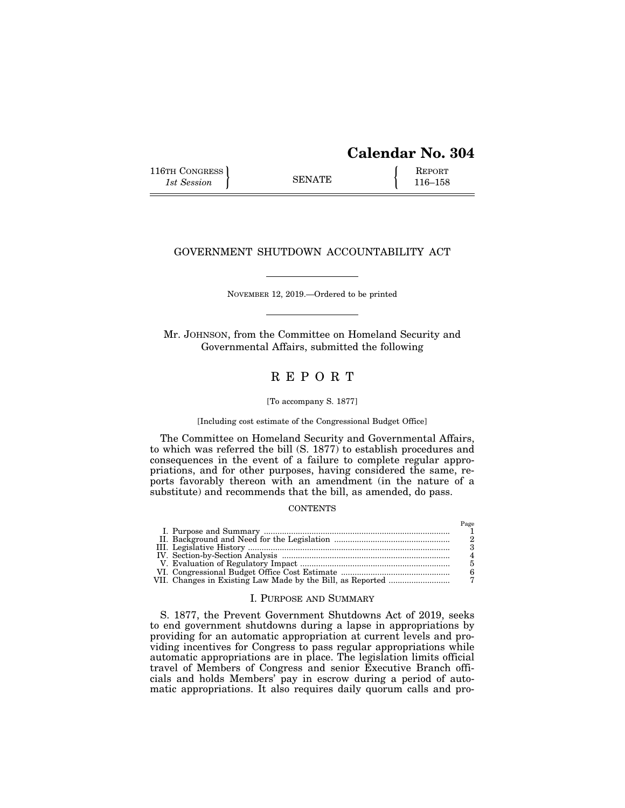## **Calendar No. 304**

116TH CONGRESS **REPORT** 116-158

### GOVERNMENT SHUTDOWN ACCOUNTABILITY ACT

NOVEMBER 12, 2019.—Ordered to be printed

Mr. JOHNSON, from the Committee on Homeland Security and Governmental Affairs, submitted the following

## R E P O R T

#### [To accompany S. 1877]

#### [Including cost estimate of the Congressional Budget Office]

The Committee on Homeland Security and Governmental Affairs, to which was referred the bill (S. 1877) to establish procedures and consequences in the event of a failure to complete regular appropriations, and for other purposes, having considered the same, reports favorably thereon with an amendment (in the nature of a substitute) and recommends that the bill, as amended, do pass.

#### **CONTENTS**

#### I. PURPOSE AND SUMMARY

S. 1877, the Prevent Government Shutdowns Act of 2019, seeks to end government shutdowns during a lapse in appropriations by providing for an automatic appropriation at current levels and providing incentives for Congress to pass regular appropriations while automatic appropriations are in place. The legislation limits official travel of Members of Congress and senior Executive Branch officials and holds Members' pay in escrow during a period of automatic appropriations. It also requires daily quorum calls and pro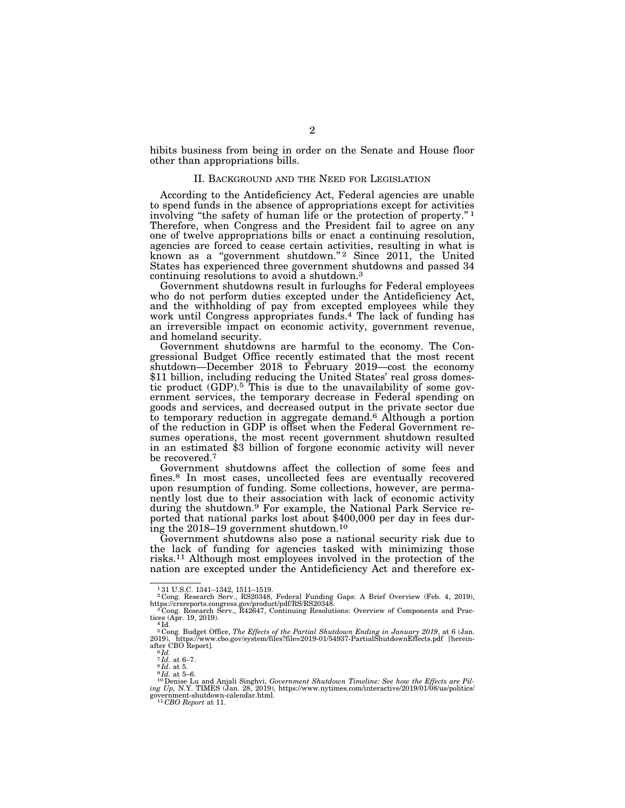hibits business from being in order on the Senate and House floor other than appropriations bills.

#### II. BACKGROUND AND THE NEED FOR LEGISLATION

According to the Antideficiency Act, Federal agencies are unable to spend funds in the absence of appropriations except for activities involving "the safety of human life or the protection of property."<sup>1</sup> Therefore, when Congress and the President fail to agree on any one of twelve appropriations bills or enact a continuing resolution, agencies are forced to cease certain activities, resulting in what is known as a "government shutdown."<sup>2</sup> Since 2011, the United States has experienced three government shutdowns and passed 34 continuing resolutions to avoid a shutdown.3

Government shutdowns result in furloughs for Federal employees who do not perform duties excepted under the Antideficiency Act, and the withholding of pay from excepted employees while they work until Congress appropriates funds.4 The lack of funding has an irreversible impact on economic activity, government revenue, and homeland security.

Government shutdowns are harmful to the economy. The Congressional Budget Office recently estimated that the most recent shutdown—December 2018 to February 2019—cost the economy \$11 billion, including reducing the United States' real gross domestic product (GDP).5 This is due to the unavailability of some government services, the temporary decrease in Federal spending on goods and services, and decreased output in the private sector due to temporary reduction in aggregate demand.6 Although a portion of the reduction in GDP is offset when the Federal Government resumes operations, the most recent government shutdown resulted in an estimated \$3 billion of forgone economic activity will never be recovered.<sup>7</sup>

Government shutdowns affect the collection of some fees and fines.8 In most cases, uncollected fees are eventually recovered upon resumption of funding. Some collections, however, are permanently lost due to their association with lack of economic activity during the shutdown.<sup>9</sup> For example, the National Park Service re-<br>ported that national parks lost about \$400,000 per day in fees during the 2018–19 government shutdown.10

Government shutdowns also pose a national security risk due to the lack of funding for agencies tasked with minimizing those risks.11 Although most employees involved in the protection of the nation are excepted under the Antideficiency Act and therefore ex-

<sup>&</sup>lt;sup>1</sup>31 U.S.C. 1341–1342, 1511–1519.<br><sup>2</sup> Cong. Research Serv., RS20348, Federal Funding Gaps: A Brief Overview (Feb. 4, 2019), https://crsreports.congress.gov/product/pdf/RS/RS20348.<br><sup>3</sup> Cong. Research Serv., R42647, Contin

tices (Apr. 19, 2019).<br> $4$ Id.

 $^5$  Cong. Budget Office, *The Effects of the Partial Shutdown Ending in January 2019*, at 6 (Jan. 2019), https://www.cbo.gov/system/files?file=2019-01/54937-PartialShutdownEffects.pdf [herein-after CBO Report].<br>after CBO

<sup>&</sup>lt;sup>6</sup>*Id.* at 6–7.<br><sup>8</sup>*Id.* at 5–7.<br><sup>8</sup>*Id.* at 5–6.<br><sup>9</sup>*Id.* at 5–6.<br><sup>10</sup> Denise Lu and Anjali Singhvi, *Government Shutdown Timeline: See how the Effects are Piling Up,* N.Y. TIMES (Jan. 28, 2019), https://www.nytimes.com/interactive/2019/01/08/us/politics/ government-shutdown-calendar.html. 11 *CBO Report* at 11.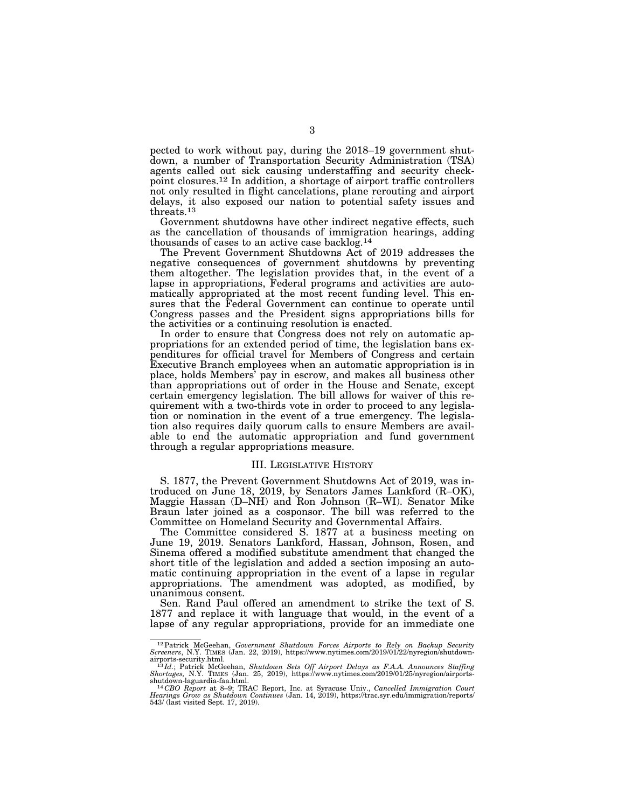pected to work without pay, during the 2018–19 government shutdown, a number of Transportation Security Administration (TSA) agents called out sick causing understaffing and security checkpoint closures.12 In addition, a shortage of airport traffic controllers not only resulted in flight cancelations, plane rerouting and airport delays, it also exposed our nation to potential safety issues and threats.13

Government shutdowns have other indirect negative effects, such as the cancellation of thousands of immigration hearings, adding thousands of cases to an active case backlog.14

The Prevent Government Shutdowns Act of 2019 addresses the negative consequences of government shutdowns by preventing them altogether. The legislation provides that, in the event of a lapse in appropriations, Federal programs and activities are automatically appropriated at the most recent funding level. This ensures that the Federal Government can continue to operate until Congress passes and the President signs appropriations bills for the activities or a continuing resolution is enacted.

In order to ensure that Congress does not rely on automatic appropriations for an extended period of time, the legislation bans expenditures for official travel for Members of Congress and certain Executive Branch employees when an automatic appropriation is in place, holds Members' pay in escrow, and makes all business other than appropriations out of order in the House and Senate, except certain emergency legislation. The bill allows for waiver of this requirement with a two-thirds vote in order to proceed to any legislation or nomination in the event of a true emergency. The legislation also requires daily quorum calls to ensure Members are available to end the automatic appropriation and fund government through a regular appropriations measure.

#### III. LEGISLATIVE HISTORY

S. 1877, the Prevent Government Shutdowns Act of 2019, was introduced on June 18, 2019, by Senators James Lankford (R–OK), Maggie Hassan (D–NH) and Ron Johnson (R–WI). Senator Mike Braun later joined as a cosponsor. The bill was referred to the Committee on Homeland Security and Governmental Affairs.

The Committee considered S. 1877 at a business meeting on June 19, 2019. Senators Lankford, Hassan, Johnson, Rosen, and Sinema offered a modified substitute amendment that changed the short title of the legislation and added a section imposing an automatic continuing appropriation in the event of a lapse in regular appropriations. The amendment was adopted, as modified, by unanimous consent.

Sen. Rand Paul offered an amendment to strike the text of S. 1877 and replace it with language that would, in the event of a lapse of any regular appropriations, provide for an immediate one

 $^{12}$  Patrick McGeehan, *Government Shutdown Forces Airports to Rely on Backup Security Screeners*, N.Y. TIMES (Jan. 22, 2019), https://www.nytimes.com/2019/01/22/nyregion/shutdown-<br>airports-security.html.<br> $^{13}$ Id.; Pat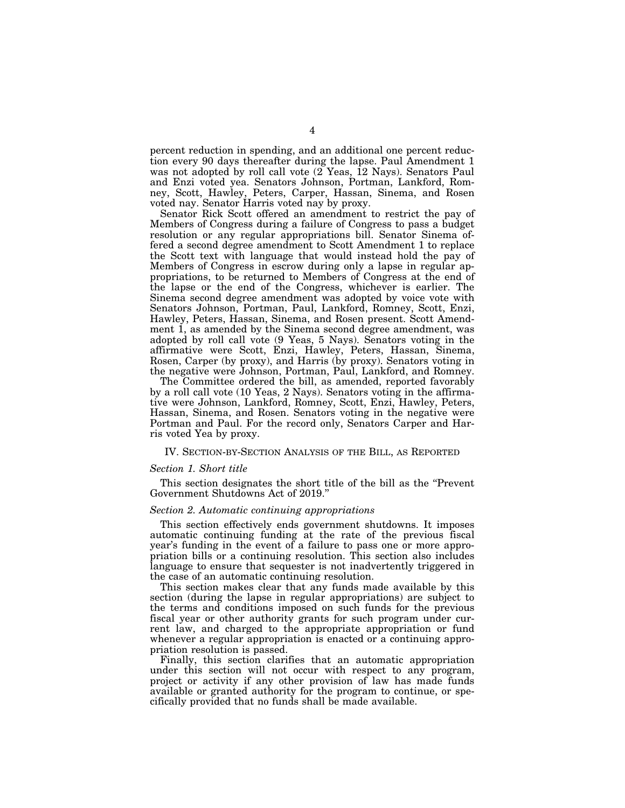percent reduction in spending, and an additional one percent reduction every 90 days thereafter during the lapse. Paul Amendment 1 was not adopted by roll call vote (2 Yeas, 12 Nays). Senators Paul and Enzi voted yea. Senators Johnson, Portman, Lankford, Romney, Scott, Hawley, Peters, Carper, Hassan, Sinema, and Rosen voted nay. Senator Harris voted nay by proxy.

Senator Rick Scott offered an amendment to restrict the pay of Members of Congress during a failure of Congress to pass a budget resolution or any regular appropriations bill. Senator Sinema offered a second degree amendment to Scott Amendment 1 to replace the Scott text with language that would instead hold the pay of Members of Congress in escrow during only a lapse in regular appropriations, to be returned to Members of Congress at the end of the lapse or the end of the Congress, whichever is earlier. The Sinema second degree amendment was adopted by voice vote with Senators Johnson, Portman, Paul, Lankford, Romney, Scott, Enzi, Hawley, Peters, Hassan, Sinema, and Rosen present. Scott Amendment 1, as amended by the Sinema second degree amendment, was adopted by roll call vote (9 Yeas, 5 Nays). Senators voting in the affirmative were Scott, Enzi, Hawley, Peters, Hassan, Sinema, Rosen, Carper (by proxy), and Harris (by proxy). Senators voting in the negative were Johnson, Portman, Paul, Lankford, and Romney.

The Committee ordered the bill, as amended, reported favorably by a roll call vote (10 Yeas, 2 Nays). Senators voting in the affirmative were Johnson, Lankford, Romney, Scott, Enzi, Hawley, Peters, Hassan, Sinema, and Rosen. Senators voting in the negative were Portman and Paul. For the record only, Senators Carper and Harris voted Yea by proxy.

#### IV. SECTION-BY-SECTION ANALYSIS OF THE BILL, AS REPORTED

#### *Section 1. Short title*

This section designates the short title of the bill as the ''Prevent Government Shutdowns Act of 2019.''

#### *Section 2. Automatic continuing appropriations*

This section effectively ends government shutdowns. It imposes automatic continuing funding at the rate of the previous fiscal year's funding in the event of a failure to pass one or more appropriation bills or a continuing resolution. This section also includes language to ensure that sequester is not inadvertently triggered in the case of an automatic continuing resolution.

This section makes clear that any funds made available by this section (during the lapse in regular appropriations) are subject to the terms and conditions imposed on such funds for the previous fiscal year or other authority grants for such program under current law, and charged to the appropriate appropriation or fund whenever a regular appropriation is enacted or a continuing appropriation resolution is passed.

Finally, this section clarifies that an automatic appropriation under this section will not occur with respect to any program, project or activity if any other provision of law has made funds available or granted authority for the program to continue, or specifically provided that no funds shall be made available.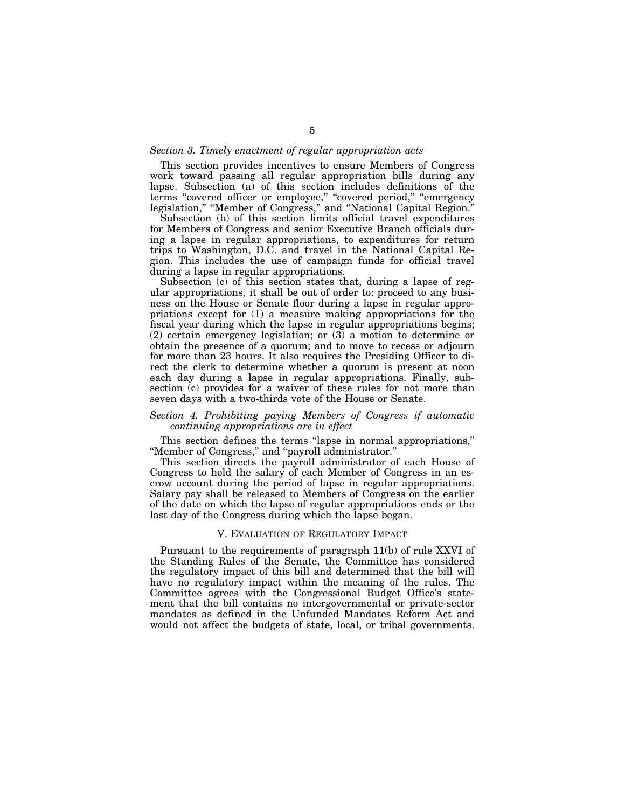#### *Section 3. Timely enactment of regular appropriation acts*

This section provides incentives to ensure Members of Congress work toward passing all regular appropriation bills during any lapse. Subsection (a) of this section includes definitions of the terms ''covered officer or employee,'' ''covered period,'' ''emergency legislation,'' ''Member of Congress,'' and ''National Capital Region.''

Subsection (b) of this section limits official travel expenditures for Members of Congress and senior Executive Branch officials during a lapse in regular appropriations, to expenditures for return trips to Washington, D.C. and travel in the National Capital Region. This includes the use of campaign funds for official travel during a lapse in regular appropriations.

Subsection (c) of this section states that, during a lapse of regular appropriations, it shall be out of order to: proceed to any business on the House or Senate floor during a lapse in regular appropriations except for (1) a measure making appropriations for the fiscal year during which the lapse in regular appropriations begins; (2) certain emergency legislation; or (3) a motion to determine or obtain the presence of a quorum; and to move to recess or adjourn for more than 23 hours. It also requires the Presiding Officer to direct the clerk to determine whether a quorum is present at noon each day during a lapse in regular appropriations. Finally, subsection (c) provides for a waiver of these rules for not more than seven days with a two-thirds vote of the House or Senate.

#### *Section 4. Prohibiting paying Members of Congress if automatic continuing appropriations are in effect*

This section defines the terms "lapse in normal appropriations," ''Member of Congress,'' and ''payroll administrator.''

This section directs the payroll administrator of each House of Congress to hold the salary of each Member of Congress in an escrow account during the period of lapse in regular appropriations. Salary pay shall be released to Members of Congress on the earlier of the date on which the lapse of regular appropriations ends or the last day of the Congress during which the lapse began.

#### V. EVALUATION OF REGULATORY IMPACT

Pursuant to the requirements of paragraph 11(b) of rule XXVI of the Standing Rules of the Senate, the Committee has considered the regulatory impact of this bill and determined that the bill will have no regulatory impact within the meaning of the rules. The Committee agrees with the Congressional Budget Office's statement that the bill contains no intergovernmental or private-sector mandates as defined in the Unfunded Mandates Reform Act and would not affect the budgets of state, local, or tribal governments.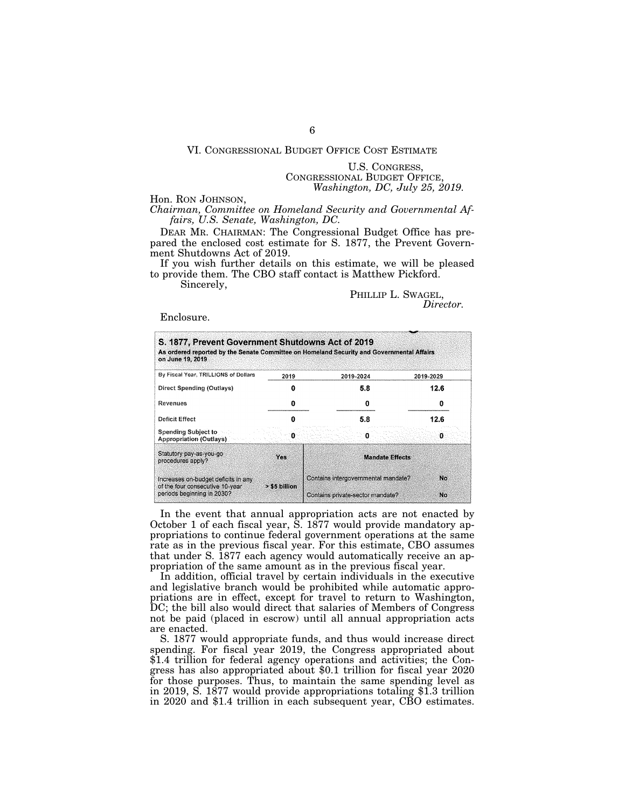#### VI. CONGRESSIONAL BUDGET OFFICE COST ESTIMATE

U.S. CONGRESS, CONGRESSIONAL BUDGET OFFICE, *Washington, DC, July 25, 2019.* 

Hon. RON JOHNSON,

*Chairman, Committee on Homeland Security and Governmental Affairs, U.S. Senate, Washington, DC.* 

DEAR MR. CHAIRMAN: The Congressional Budget Office has prepared the enclosed cost estimate for S. 1877, the Prevent Government Shutdowns Act of 2019.

If you wish further details on this estimate, we will be pleased to provide them. The CBO staff contact is Matthew Pickford.

Sincerely,

#### PHILLIP L. SWAGEL, *Director.*

Enclosure.

| S. 1877, Prevent Government Shutdowns Act of 2019<br>As ordered reported by the Senate Committee on Homeland Security and Governmental Affairs<br>on June 19, 2019 |               |                                     |                        |
|--------------------------------------------------------------------------------------------------------------------------------------------------------------------|---------------|-------------------------------------|------------------------|
| By Fiscal Year, TRILLIONS of Dollars                                                                                                                               | 2019          | 2019-2024                           | 2019-2029              |
| Direct Spending (Outlays)                                                                                                                                          |               | 5.8                                 | 12.6                   |
| Revenues                                                                                                                                                           |               |                                     |                        |
| Deficit Effect                                                                                                                                                     |               | 5.8                                 | 12.6                   |
| <b>Spending Subject to</b><br><b>Appropriation (Outlays)</b>                                                                                                       |               |                                     | o                      |
| Statutory pay-as-you-go<br>procedures apply?                                                                                                                       | Yes           |                                     | <b>Mandate Effects</b> |
| Increases on-budget deficits in any<br>of the four consecutive 10-year                                                                                             | > \$5 billion | Contains intergovernmental mandate? | No                     |
| periods beginning in 2030?                                                                                                                                         |               | Contains private-sector mandate?    | No.                    |

In the event that annual appropriation acts are not enacted by October 1 of each fiscal year, S. 1877 would provide mandatory appropriations to continue federal government operations at the same rate as in the previous fiscal year. For this estimate, CBO assumes that under S. 1877 each agency would automatically receive an appropriation of the same amount as in the previous fiscal year.

In addition, official travel by certain individuals in the executive and legislative branch would be prohibited while automatic appropriations are in effect, except for travel to return to Washington, DC; the bill also would direct that salaries of Members of Congress not be paid (placed in escrow) until all annual appropriation acts are enacted.

S. 1877 would appropriate funds, and thus would increase direct spending. For fiscal year 2019, the Congress appropriated about \$1.4 trillion for federal agency operations and activities; the Congress has also appropriated about \$0.1 trillion for fiscal year 2020 for those purposes. Thus, to maintain the same spending level as in 2019, S. 1877 would provide appropriations totaling \$1.3 trillion in 2020 and \$1.4 trillion in each subsequent year, CBO estimates.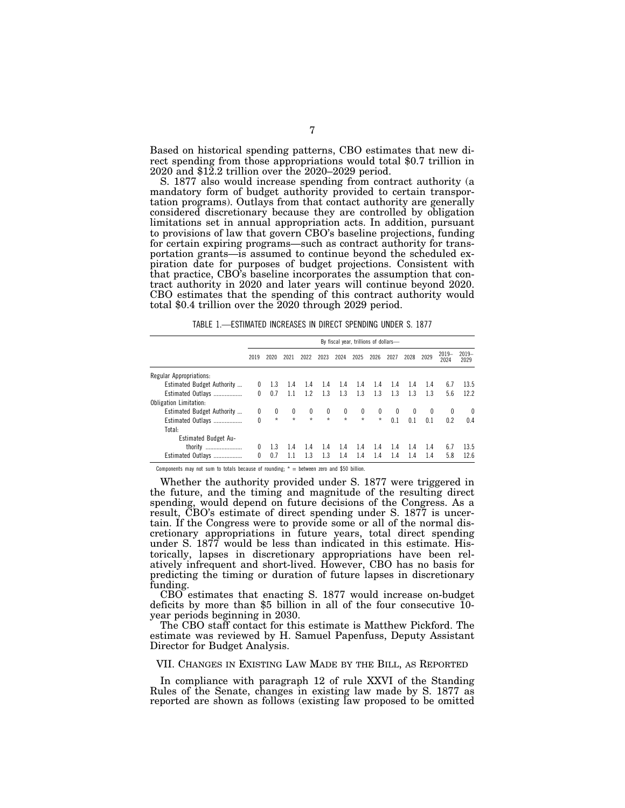Based on historical spending patterns, CBO estimates that new direct spending from those appropriations would total \$0.7 trillion in 2020 and \$12.2 trillion over the 2020–2029 period.

S. 1877 also would increase spending from contract authority (a mandatory form of budget authority provided to certain transportation programs). Outlays from that contact authority are generally considered discretionary because they are controlled by obligation limitations set in annual appropriation acts. In addition, pursuant to provisions of law that govern CBO's baseline projections, funding for certain expiring programs—such as contract authority for transportation grants—is assumed to continue beyond the scheduled expiration date for purposes of budget projections. Consistent with that practice, CBO's baseline incorporates the assumption that contract authority in 2020 and later years will continue beyond 2020. CBO estimates that the spending of this contract authority would total \$0.4 trillion over the 2020 through 2029 period.

TABLE 1.—ESTIMATED INCREASES IN DIRECT SPENDING UNDER S. 1877

|                               | By fiscal year, trillions of dollars- |            |         |            |         |         |              |              |                         |                         |                |                 |                 |
|-------------------------------|---------------------------------------|------------|---------|------------|---------|---------|--------------|--------------|-------------------------|-------------------------|----------------|-----------------|-----------------|
|                               | 2019                                  | 2020       | 2021    | 2022       | 2023    | 2024    | 2025         | 2026         | 2027                    | 2028                    | 2029           | $2019-$<br>2024 | $2019-$<br>2029 |
| Regular Appropriations:       |                                       |            |         |            |         |         |              |              |                         |                         |                |                 |                 |
| Estimated Budget Authority    | 0                                     | 1.3        | 1.4     | 1.4        | 1.4     | 1.4     | 1.4          | 1.4          | 1.4                     | 1.4                     | 1.4            | 6.7             | 13.5            |
| Estimated Outlays             | $\Omega$                              | 0.7        | 1.1     | 1.2        | 1.3     | 1.3     | 1.3          | 1.3          | 1.3                     | 1.3                     | 1.3            | 5.6             | 12.2            |
| <b>Obligation Limitation:</b> |                                       |            |         |            |         |         |              |              |                         |                         |                |                 |                 |
| Estimated Budget Authority    | 0                                     | $^{\circ}$ | 0       | $^{\circ}$ | 0       | 0       | $\mathbf{0}$ | $\mathbf{0}$ | $\overline{\mathbf{0}}$ | $\overline{\mathbf{0}}$ | $\mathbf{0}$   | $\mathbf{0}$    | $\theta$        |
| Estimated Outlays             | 0                                     | $\star$    | $\star$ | $\star$    | $\star$ | $\star$ | $\star$      | $\star$      | 0.1                     | 0 <sub>1</sub>          | 0 <sub>1</sub> | 0.2             | 0.4             |
| Total:                        |                                       |            |         |            |         |         |              |              |                         |                         |                |                 |                 |
| Estimated Budget Au-          |                                       |            |         |            |         |         |              |              |                         |                         |                |                 |                 |
| thority                       |                                       | 1.3        | 14      | 1.4        | 1.4     | 1.4     | 1.4          | 1.4          | 1.4                     | 1.4                     | 1.4            | 6.7             | 13.5            |
| Estimated Outlays             | $\Omega$                              | 0.7        | 1.1     | 1.3        | 1.3     | 1.4     | 1.4          | 1.4          | 1.4                     | 1.4                     | 1.4            | 5.8             | 12.6            |

Components may not sum to totals because of rounding;  $* =$  between zero and \$50 billion.

Whether the authority provided under S. 1877 were triggered in the future, and the timing and magnitude of the resulting direct spending, would depend on future decisions of the Congress. As a result, CBO's estimate of direct spending under S. 1877 is uncertain. If the Congress were to provide some or all of the normal discretionary appropriations in future years, total direct spending under S. 1877 would be less than indicated in this estimate. Historically, lapses in discretionary appropriations have been relatively infrequent and short-lived. However, CBO has no basis for predicting the timing or duration of future lapses in discretionary funding.

CBO estimates that enacting S. 1877 would increase on-budget deficits by more than \$5 billion in all of the four consecutive 10 year periods beginning in 2030.

The CBO staff contact for this estimate is Matthew Pickford. The estimate was reviewed by H. Samuel Papenfuss, Deputy Assistant Director for Budget Analysis.

#### VII. CHANGES IN EXISTING LAW MADE BY THE BILL, AS REPORTED

In compliance with paragraph 12 of rule XXVI of the Standing Rules of the Senate, changes in existing law made by S. 1877 as reported are shown as follows (existing law proposed to be omitted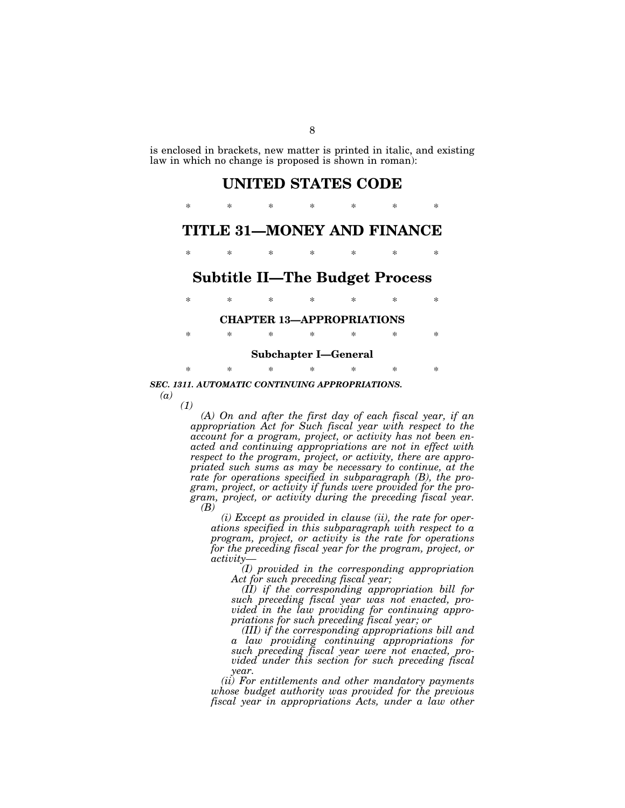is enclosed in brackets, new matter is printed in italic, and existing law in which no change is proposed is shown in roman):

### **UNITED STATES CODE**

## \* \* \* \* \* \* \* **TITLE 31—MONEY AND FINANCE**

\* \* \* \* \* \* \*

### **Subtitle II—The Budget Process**

## \* \* \* \* \* \* \* **CHAPTER 13—APPROPRIATIONS**

\* \* \* \* \* \* \*

#### **Subchapter I—General**

\* \* \* \* \* \* \*

*SEC. 1311. AUTOMATIC CONTINUING APPROPRIATIONS.* 

*(a)* 

*(1)* 

*(A) On and after the first day of each fiscal year, if an appropriation Act for Such fiscal year with respect to the account for a program, project, or activity has not been enacted and continuing appropriations are not in effect with respect to the program, project, or activity, there are appropriated such sums as may be necessary to continue, at the rate for operations specified in subparagraph (B), the program, project, or activity if funds were provided for the program, project, or activity during the preceding fiscal year. (B)* 

*(i) Except as provided in clause (ii), the rate for operations specified in this subparagraph with respect to a program, project, or activity is the rate for operations for the preceding fiscal year for the program, project, or activity—* 

*(I) provided in the corresponding appropriation Act for such preceding fiscal year;* 

*(II) if the corresponding appropriation bill for such preceding fiscal year was not enacted, provided in the law providing for continuing appropriations for such preceding fiscal year; or* 

*(III) if the corresponding appropriations bill and a law providing continuing appropriations for such preceding fiscal year were not enacted, provided under this section for such preceding fiscal year.* 

*(ii) For entitlements and other mandatory payments whose budget authority was provided for the previous fiscal year in appropriations Acts, under a law other*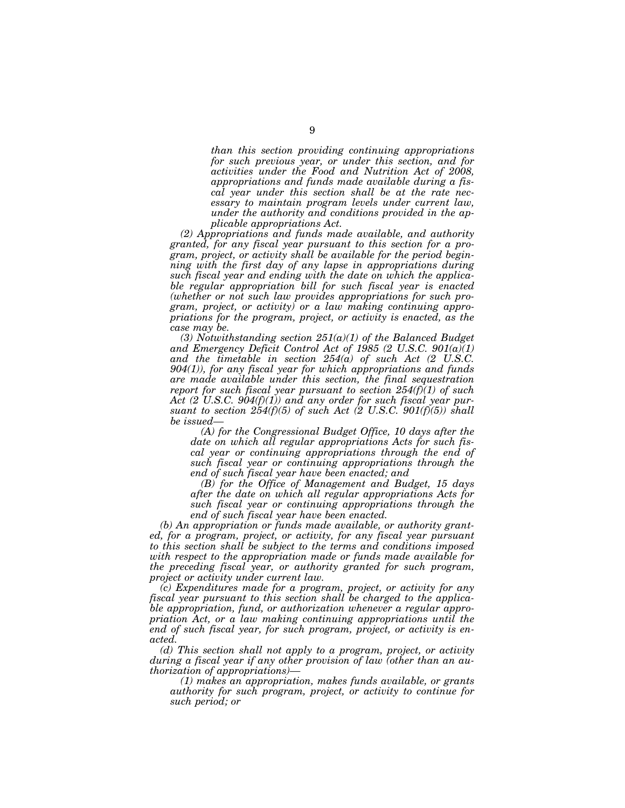*than this section providing continuing appropriations for such previous year, or under this section, and for activities under the Food and Nutrition Act of 2008, appropriations and funds made available during a fiscal year under this section shall be at the rate necessary to maintain program levels under current law, under the authority and conditions provided in the applicable appropriations Act.* 

*(2) Appropriations and funds made available, and authority granted, for any fiscal year pursuant to this section for a program, project, or activity shall be available for the period beginning with the first day of any lapse in appropriations during such fiscal year and ending with the date on which the applicable regular appropriation bill for such fiscal year is enacted (whether or not such law provides appropriations for such program, project, or activity) or a law making continuing appropriations for the program, project, or activity is enacted, as the case may be.* 

*(3) Notwithstanding section 251(a)(1) of the Balanced Budget and Emergency Deficit Control Act of 1985 (2 U.S.C. 901(a)(1) and the timetable in section 254(a) of such Act (2 U.S.C. 904(1)), for any fiscal year for which appropriations and funds are made available under this section, the final sequestration report for such fiscal year pursuant to section 254(f)(1) of such Act (2 U.S.C. 904(f)(1)) and any order for such fiscal year pursuant to section 254(f)(5) of such Act (2 U.S.C. 901(f)(5)) shall be issued—* 

*(A) for the Congressional Budget Office, 10 days after the date on which all regular appropriations Acts for such fiscal year or continuing appropriations through the end of such fiscal year or continuing appropriations through the end of such fiscal year have been enacted; and* 

*(B) for the Office of Management and Budget, 15 days after the date on which all regular appropriations Acts for such fiscal year or continuing appropriations through the end of such fiscal year have been enacted.* 

*(b) An appropriation or funds made available, or authority granted, for a program, project, or activity, for any fiscal year pursuant to this section shall be subject to the terms and conditions imposed with respect to the appropriation made or funds made available for the preceding fiscal year, or authority granted for such program, project or activity under current law.* 

*(c) Expenditures made for a program, project, or activity for any fiscal year pursuant to this section shall be charged to the applicable appropriation, fund, or authorization whenever a regular appropriation Act, or a law making continuing appropriations until the end of such fiscal year, for such program, project, or activity is enacted.* 

*(d) This section shall not apply to a program, project, or activity during a fiscal year if any other provision of law (other than an authorization of appropriations)—* 

*(1) makes an appropriation, makes funds available, or grants authority for such program, project, or activity to continue for such period; or*